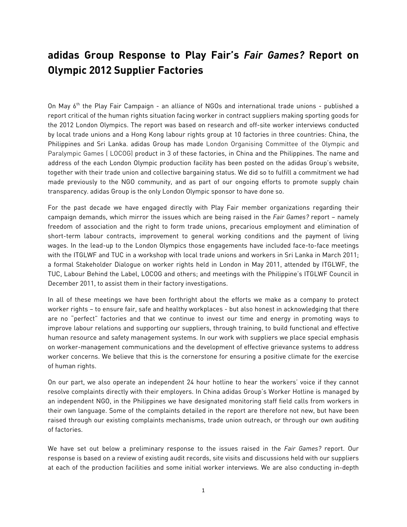# **adidas Group Response to Play Fair's** *Fair Games?* **Report on Olympic 2012 Supplier Factories**

On May 6<sup>th</sup> the Play Fair Campaign - an alliance of NGOs and international trade unions - published a report critical of the human rights situation facing worker in contract suppliers making sporting goods for the 2012 London Olympics. The report was based on research and off-site worker interviews conducted by local trade unions and a Hong Kong labour rights group at 10 factories in three countries: China, the Philippines and Sri Lanka. adidas Group has made London Organising Committee of the Olympic and Paralympic Games ( LOCOG) product in 3 of these factories, in China and the Philippines. The name and address of the each London Olympic production facility has been posted on the adidas Group's website, together with their trade union and collective bargaining status. We did so to fulfill a commitment we had made previously to the NGO community, and as part of our ongoing efforts to promote supply chain transparency. adidas Group is the only London Olympic sponsor to have done so.

For the past decade we have engaged directly with Play Fair member organizations regarding their campaign demands, which mirror the issues which are being raised in the *Fair Games?* report – namely freedom of association and the right to form trade unions, precarious employment and elimination of short-term labour contracts, improvement to general working conditions and the payment of living wages. In the lead-up to the London Olympics those engagements have included face-to-face meetings with the ITGLWF and TUC in a workshop with local trade unions and workers in Sri Lanka in March 2011; a formal Stakeholder Dialogue on worker rights held in London in May 2011, attended by ITGLWF, the TUC, Labour Behind the Label, LOCOG and others; and meetings with the Philippine's ITGLWF Council in December 2011, to assist them in their factory investigations.

In all of these meetings we have been forthright about the efforts we make as a company to protect worker rights – to ensure fair, safe and healthy workplaces - but also honest in acknowledging that there are no "perfect" factories and that we continue to invest our time and energy in promoting ways to improve labour relations and supporting our suppliers, through training, to build functional and effective human resource and safety management systems. In our work with suppliers we place special emphasis on worker-management communications and the development of effective grievance systems to address worker concerns. We believe that this is the cornerstone for ensuring a positive climate for the exercise of human rights.

On our part, we also operate an independent 24 hour hotline to hear the workers' voice if they cannot resolve complaints directly with their employers. In China adidas Group's Worker Hotline is managed by an independent NGO, in the Philippines we have designated monitoring staff field calls from workers in their own language. Some of the complaints detailed in the report are therefore not new, but have been raised through our existing complaints mechanisms, trade union outreach, or through our own auditing of factories.

We have set out below a preliminary response to the issues raised in the *Fair Games?* report. Our response is based on a review of existing audit records, site visits and discussions held with our suppliers at each of the production facilities and some initial worker interviews. We are also conducting in-depth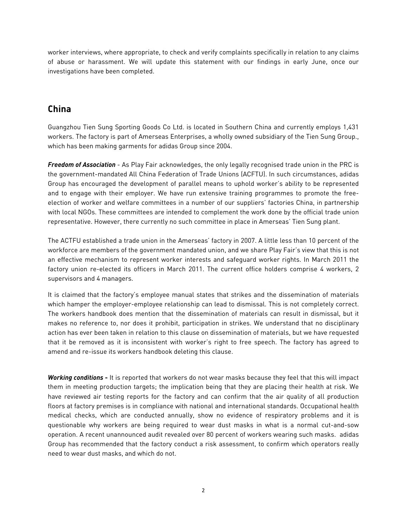worker interviews, where appropriate, to check and verify complaints specifically in relation to any claims of abuse or harassment. We will update this statement with our findings in early June, once our investigations have been completed.

# **China**

Guangzhou Tien Sung Sporting Goods Co Ltd. is located in Southern China and currently employs 1,431 workers. The factory is part of Amerseas Enterprises, a wholly owned subsidiary of the Tien Sung Group., which has been making garments for adidas Group since 2004.

*Freedom of Association* - As Play Fair acknowledges, the only legally recognised trade union in the PRC is the government-mandated All China Federation of Trade Unions (ACFTU). In such circumstances, adidas Group has encouraged the development of parallel means to uphold worker's ability to be represented and to engage with their employer. We have run extensive training programmes to promote the freeelection of worker and welfare committees in a number of our suppliers' factories China, in partnership with local NGOs. These committees are intended to complement the work done by the official trade union representative. However, there currently no such committee in place in Amerseas' Tien Sung plant.

The ACTFU established a trade union in the Amerseas' factory in 2007. A little less than 10 percent of the workforce are members of the government mandated union, and we share Play Fair's view that this is not an effective mechanism to represent worker interests and safeguard worker rights. In March 2011 the factory union re-elected its officers in March 2011. The current office holders comprise 4 workers, 2 supervisors and 4 managers.

It is claimed that the factory's employee manual states that strikes and the dissemination of materials which hamper the employer-employee relationship can lead to dismissal. This is not completely correct. The workers handbook does mention that the dissemination of materials can result in dismissal, but it makes no reference to, nor does it prohibit, participation in strikes. We understand that no disciplinary action has ever been taken in relation to this clause on dissemination of materials, but we have requested that it be removed as it is inconsistent with worker's right to free speech. The factory has agreed to amend and re-issue its workers handbook deleting this clause.

*Working conditions* **-** It is reported that workers do not wear masks because they feel that this will impact them in meeting production targets; the implication being that they are placing their health at risk. We have reviewed air testing reports for the factory and can confirm that the air quality of all production floors at factory premises is in compliance with national and international standards. Occupational health medical checks, which are conducted annually, show no evidence of respiratory problems and it is questionable why workers are being required to wear dust masks in what is a normal cut-and-sow operation. A recent unannounced audit revealed over 80 percent of workers wearing such masks. adidas Group has recommended that the factory conduct a risk assessment, to confirm which operators really need to wear dust masks, and which do not.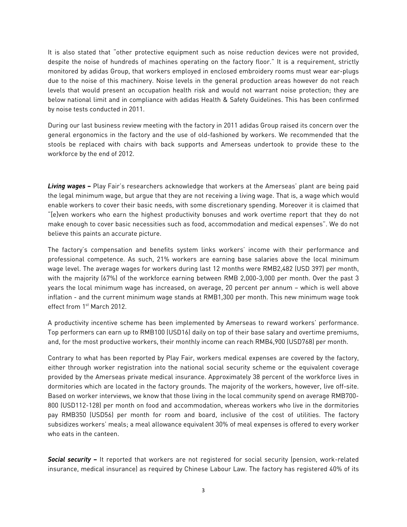It is also stated that "other protective equipment such as noise reduction devices were not provided, despite the noise of hundreds of machines operating on the factory floor." It is a requirement, strictly monitored by adidas Group, that workers employed in enclosed embroidery rooms must wear ear-plugs due to the noise of this machinery. Noise levels in the general production areas however do not reach levels that would present an occupation health risk and would not warrant noise protection; they are below national limit and in compliance with adidas Health & Safety Guidelines. This has been confirmed by noise tests conducted in 2011.

During our last business review meeting with the factory in 2011 adidas Group raised its concern over the general ergonomics in the factory and the use of old-fashioned by workers. We recommended that the stools be replaced with chairs with back supports and Amerseas undertook to provide these to the workforce by the end of 2012.

*Living wages* **–** Play Fair's researchers acknowledge that workers at the Amerseas' plant are being paid the legal minimum wage, but argue that they are not receiving a living wage. That is, a wage which would enable workers to cover their basic needs, with some discretionary spending. Moreover it is claimed that "[e]ven workers who earn the highest productivity bonuses and work overtime report that they do not make enough to cover basic necessities such as food, accommodation and medical expenses". We do not believe this paints an accurate picture.

The factory's compensation and benefits system links workers' income with their performance and professional competence. As such, 21% workers are earning base salaries above the local minimum wage level. The average wages for workers during last 12 months were RMB2,482 (USD 397) per month, with the majority (67%) of the workforce earning between RMB 2,000-3,000 per month. Over the past 3 years the local minimum wage has increased, on average, 20 percent per annum – which is well above inflation - and the current minimum wage stands at RMB1,300 per month. This new minimum wage took effect from 1st March 2012.

A productivity incentive scheme has been implemented by Amerseas to reward workers' performance. Top performers can earn up to RMB100 (USD16) daily on top of their base salary and overtime premiums, and, for the most productive workers, their monthly income can reach RMB4,900 (USD768) per month.

Contrary to what has been reported by Play Fair, workers medical expenses are covered by the factory, either through worker registration into the national social security scheme or the equivalent coverage provided by the Amerseas private medical insurance. Approximately 38 percent of the workforce lives in dormitories which are located in the factory grounds. The majority of the workers, however, live off-site. Based on worker interviews, we know that those living in the local community spend on average RMB700- 800 (USD112-128) per month on food and accommodation, whereas workers who live in the dormitories pay RMB350 (USD56) per month for room and board, inclusive of the cost of utilities. The factory subsidizes workers' meals; a meal allowance equivalent 30% of meal expenses is offered to every worker who eats in the canteen.

*Social security* **–** It reported that workers are not registered for social security (pension, work-related insurance, medical insurance) as required by Chinese Labour Law. The factory has registered 40% of its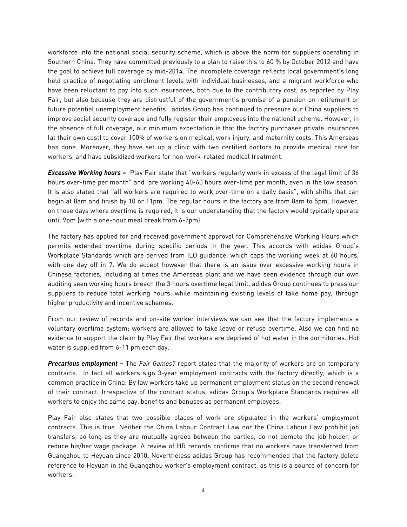workforce into the national social security scheme, which is above the norm for suppliers operating in Southern China. They have committed previously to a plan to raise this to 60 % by October 2012 and have the goal to achieve full coverage by mid-2014. The incomplete coverage reflects local government's long held practice of negotiating enrolment levels with individual businesses, and a migrant workforce who have been reluctant to pay into such insurances, both due to the contributory cost, as reported by Play Fair, but also because they are distrustful of the government's promise of a pension on retirement or future potential unemployment benefits. adidas Group has continued to pressure our China suppliers to improve social security coverage and fully register their employees into the national scheme. However, in the absence of full coverage, our minimum expectation is that the factory purchases private insurances (at their own cost) to cover 100% of workers on medical, work injury, and maternity costs. This Amerseas has done. Moreover, they have set up a clinic with two certified doctors to provide medical care for workers, and have subsidized workers for non-work-related medical treatment.

*Excessive Working hours* **–** Play Fair state that "workers regularly work in excess of the legal limit of 36 hours over-time per month" and are working 40-60 hours over-time per month, even in the low season. It is also stated that "all workers are required to work over-time on a daily basis", with shifts that can begin at 8am and finish by 10 or 11pm. The regular hours in the factory are from 8am to 5pm. However, on those days where overtime is required, it is our understanding that the factory would typically operate until 9pm (with a one-hour meal break from 6-7pm).

The factory has applied for and received government approval for Comprehensive Working Hours which permits extended overtime during specific periods in the year. This accords with adidas Group's Workplace Standards which are derived from ILO guidance, which caps the working week at 60 hours, with one day off in 7. We do accept however that there is an issue over excessive working hours in Chinese factories, including at times the Amerseas plant and we have seen evidence through our own auditing seen working hours breach the 3 hours overtime legal limit. adidas Group continues to press our suppliers to reduce total working hours, while maintaining existing levels of take home pay, through higher productivity and incentive schemes.

From our review of records and on-site worker interviews we can see that the factory implements a voluntary overtime system; workers are allowed to take leave or refuse overtime. Also we can find no evidence to support the claim by Play Fair that workers are deprived of hot water in the dormitories. Hot water is supplied from 6-11 pm each day.

*Precarious employment* **–** The *Fair Games?* report states that the majority of workers are on temporary contracts. In fact all workers sign 3-year employment contracts with the factory directly, which is a common practice in China. By law workers take up permanent employment status on the second renewal of their contract. Irrespective of the contract status, adidas Group's Workplace Standards requires all workers to enjoy the same pay, benefits and bonuses as permanent employees.

Play Fair also states that two possible places of work are stipulated in the workers' employment contracts. This is true. Neither the China Labour Contract Law nor the China Labour Law prohibit job transfers, so long as they are mutually agreed between the parties, do not demote the job holder, or reduce his/her wage package. A review of HR records confirms that no workers have transferred from Guangzhou to Heyuan since 2010**.** Nevertheless adidas Group has recommended that the factory delete reference to Heyuan in the Guangzhou worker's employment contract, as this is a source of concern for workers.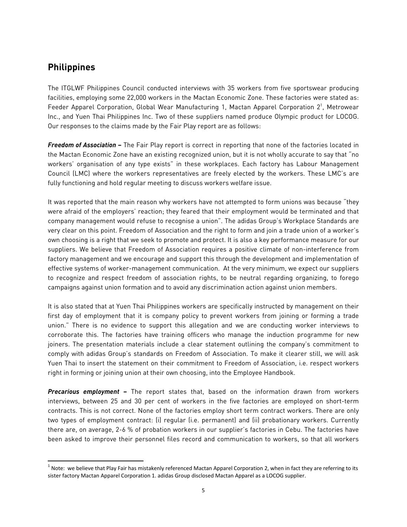#### **Philippines**

The ITGLWF Philippines Council conducted interviews with 35 workers from five sportswear producing facilities, employing some 22,000 workers in the Mactan Economic Zone. These factories were stated as: Feeder Apparel Corporation, Global Wear Manufacturing 1, Mactan Apparel Corporation  $2^1$ , Metrowear Inc., and Yuen Thai Philippines Inc. Two of these suppliers named produce Olympic product for LOCOG. Our responses to the claims made by the Fair Play report are as follows:

*Freedom of Association* **–** The Fair Play report is correct in reporting that none of the factories located in the Mactan Economic Zone have an existing recognized union, but it is not wholly accurate to say that "no workers' organisation of any type exists" in these workplaces. Each factory has Labour Management Council (LMC) where the workers representatives are freely elected by the workers. These LMC's are fully functioning and hold regular meeting to discuss workers welfare issue.

It was reported that the main reason why workers have not attempted to form unions was because "they were afraid of the employers' reaction; they feared that their employment would be terminated and that company management would refuse to recognise a union". The adidas Group's Workplace Standards are very clear on this point. Freedom of Association and the right to form and join a trade union of a worker's own choosing is a right that we seek to promote and protect. It is also a key performance measure for our suppliers. We believe that Freedom of Association requires a positive climate of non-interference from factory management and we encourage and support this through the development and implementation of effective systems of worker-management communication. At the very minimum, we expect our suppliers to recognize and respect freedom of association rights, to be neutral regarding organizing, to forego campaigns against union formation and to avoid any discrimination action against union members.

It is also stated that at Yuen Thai Philippines workers are specifically instructed by management on their first day of employment that it is company policy to prevent workers from joining or forming a trade union." There is no evidence to support this allegation and we are conducting worker interviews to corroborate this. The factories have training officers who manage the induction programme for new joiners. The presentation materials include a clear statement outlining the company's commitment to comply with adidas Group's standards on Freedom of Association. To make it clearer still, we will ask Yuen Thai to insert the statement on their commitment to Freedom of Association, i.e. respect workers right in forming or joining union at their own choosing, into the Employee Handbook.

*Precarious employment* **–** The report states that, based on the information drawn from workers interviews, between 25 and 30 per cent of workers in the five factories are employed on short-term contracts. This is not correct. None of the factories employ short term contract workers. There are only two types of employment contract: (i) regular (i.e. permanent) and (ii) probationary workers. Currently there are, on average, 2-6 % of probation workers in our supplier's factories in Cebu. The factories have been asked to improve their personnel files record and communication to workers, so that all workers

 $1$  Note: we believe that Play Fair has mistakenly referenced Mactan Apparel Corporation 2, when in fact they are referring to its sister factory Mactan Apparel Corporation 1. adidas Group disclosed Mactan Apparel as a LOCOG supplier.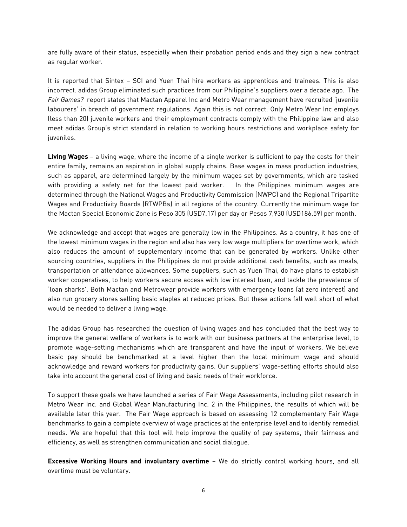are fully aware of their status, especially when their probation period ends and they sign a new contract as regular worker.

It is reported that Sintex – SCI and Yuen Thai hire workers as apprentices and trainees. This is also incorrect. adidas Group eliminated such practices from our Philippine's suppliers over a decade ago. The *Fair Games?* report states that Mactan Apparel Inc and Metro Wear management have recruited 'juvenile labourers' in breach of government regulations. Again this is not correct. Only Metro Wear Inc employs (less than 20) juvenile workers and their employment contracts comply with the Philippine law and also meet adidas Group's strict standard in relation to working hours restrictions and workplace safety for juveniles.

**Living Wages** – a living wage, where the income of a single worker is sufficient to pay the costs for their entire family, remains an aspiration in global supply chains. Base wages in mass production industries, such as apparel, are determined largely by the minimum wages set by governments, which are tasked with providing a safety net for the lowest paid worker. In the Philippines minimum wages are determined through the National Wages and Productivity Commission (NWPC) and the Regional Tripartite Wages and Productivity Boards (RTWPBs) in all regions of the country. Currently the minimum wage for the Mactan Special Economic Zone is Peso 305 (USD7.17) per day or Pesos 7,930 (USD186.59) per month.

We acknowledge and accept that wages are generally low in the Philippines. As a country, it has one of the lowest minimum wages in the region and also has very low wage multipliers for overtime work, which also reduces the amount of supplementary income that can be generated by workers. Unlike other sourcing countries, suppliers in the Philippines do not provide additional cash benefits, such as meals, transportation or attendance allowances. Some suppliers, such as Yuen Thai, do have plans to establish worker cooperatives, to help workers secure access with low interest loan, and tackle the prevalence of 'loan sharks'. Both Mactan and Metrowear provide workers with emergency loans (at zero interest) and also run grocery stores selling basic staples at reduced prices. But these actions fall well short of what would be needed to deliver a living wage.

The adidas Group has researched the question of living wages and has concluded that the best way to improve the general welfare of workers is to work with our business partners at the enterprise level, to promote wage-setting mechanisms which are transparent and have the input of workers. We believe basic pay should be benchmarked at a level higher than the local minimum wage and should acknowledge and reward workers for productivity gains. Our suppliers' wage-setting efforts should also take into account the general cost of living and basic needs of their workforce.

To support these goals we have launched a series of Fair Wage Assessments, including pilot research in Metro Wear Inc. and Global Wear Manufacturing Inc. 2 in the Philippines, the results of which will be available later this year. The Fair Wage approach is based on assessing 12 complementary Fair Wage benchmarks to gain a complete overview of wage practices at the enterprise level and to identify remedial needs. We are hopeful that this tool will help improve the quality of pay systems, their fairness and efficiency, as well as strengthen communication and social dialogue.

**Excessive Working Hours and involuntary overtime** – We do strictly control working hours, and all overtime must be voluntary.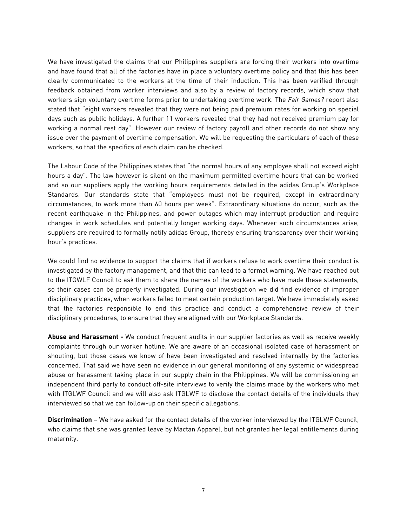We have investigated the claims that our Philippines suppliers are forcing their workers into overtime and have found that all of the factories have in place a voluntary overtime policy and that this has been clearly communicated to the workers at the time of their induction. This has been verified through feedback obtained from worker interviews and also by a review of factory records, which show that workers sign voluntary overtime forms prior to undertaking overtime work. The *Fair Games?* report also stated that "eight workers revealed that they were not being paid premium rates for working on special days such as public holidays. A further 11 workers revealed that they had not received premium pay for working a normal rest day". However our review of factory payroll and other records do not show any issue over the payment of overtime compensation. We will be requesting the particulars of each of these workers, so that the specifics of each claim can be checked.

The Labour Code of the Philippines states that "the normal hours of any employee shall not exceed eight hours a day". The law however is silent on the maximum permitted overtime hours that can be worked and so our suppliers apply the working hours requirements detailed in the adidas Group's Workplace Standards. Our standards state that "employees must not be required, except in extraordinary circumstances, to work more than 60 hours per week". Extraordinary situations do occur, such as the recent earthquake in the Philippines, and power outages which may interrupt production and require changes in work schedules and potentially longer working days. Whenever such circumstances arise, suppliers are required to formally notify adidas Group, thereby ensuring transparency over their working hour's practices.

We could find no evidence to support the claims that if workers refuse to work overtime their conduct is investigated by the factory management, and that this can lead to a formal warning. We have reached out to the ITGWLF Council to ask them to share the names of the workers who have made these statements, so their cases can be properly investigated. During our investigation we did find evidence of improper disciplinary practices, when workers failed to meet certain production target. We have immediately asked that the factories responsible to end this practice and conduct a comprehensive review of their disciplinary procedures, to ensure that they are aligned with our Workplace Standards.

**Abuse and Harassment -** We conduct frequent audits in our supplier factories as well as receive weekly complaints through our worker hotline. We are aware of an occasional isolated case of harassment or shouting, but those cases we know of have been investigated and resolved internally by the factories concerned. That said we have seen no evidence in our general monitoring of any systemic or widespread abuse or harassment taking place in our supply chain in the Philippines. We will be commissioning an independent third party to conduct off-site interviews to verify the claims made by the workers who met with ITGLWF Council and we will also ask ITGLWF to disclose the contact details of the individuals they interviewed so that we can follow-up on their specific allegations.

**Discrimination** – We have asked for the contact details of the worker interviewed by the ITGLWF Council, who claims that she was granted leave by Mactan Apparel, but not granted her legal entitlements during maternity.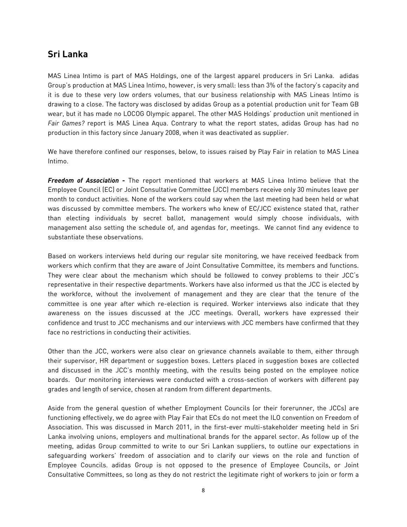## **Sri Lanka**

MAS Linea Intimo is part of MAS Holdings, one of the largest apparel producers in Sri Lanka. adidas Group's production at MAS Linea Intimo, however, is very small: less than 3% of the factory's capacity and it is due to these very low orders volumes, that our business relationship with MAS Lineas Intimo is drawing to a close. The factory was disclosed by adidas Group as a potential production unit for Team GB wear, but it has made no LOCOG Olympic apparel. The other MAS Holdings' production unit mentioned in *Fair Games?* report is MAS Linea Aqua. Contrary to what the report states, adidas Group has had no production in this factory since January 2008, when it was deactivated as supplier.

We have therefore confined our responses, below, to issues raised by Play Fair in relation to MAS Linea Intimo.

*Freedom of Association* **-** The report mentioned that workers at MAS Linea Intimo believe that the Employee Council (EC) or Joint Consultative Committee (JCC) members receive only 30 minutes leave per month to conduct activities. None of the workers could say when the last meeting had been held or what was discussed by committee members. The workers who knew of EC/JCC existence stated that, rather than electing individuals by secret ballot, management would simply choose individuals, with management also setting the schedule of, and agendas for, meetings. We cannot find any evidence to substantiate these observations.

Based on workers interviews held during our regular site monitoring, we have received feedback from workers which confirm that they are aware of Joint Consultative Committee, its members and functions. They were clear about the mechanism which should be followed to convey problems to their JCC's representative in their respective departments. Workers have also informed us that the JCC is elected by the workforce, without the involvement of management and they are clear that the tenure of the committee is one year after which re-election is required. Worker interviews also indicate that they awareness on the issues discussed at the JCC meetings. Overall, workers have expressed their confidence and trust to JCC mechanisms and our interviews with JCC members have confirmed that they face no restrictions in conducting their activities.

Other than the JCC, workers were also clear on grievance channels available to them, either through their supervisor, HR department or suggestion boxes. Letters placed in suggestion boxes are collected and discussed in the JCC's monthly meeting, with the results being posted on the employee notice boards. Our monitoring interviews were conducted with a cross-section of workers with different pay grades and length of service, chosen at random from different departments.

Aside from the general question of whether Employment Councils (or their forerunner, the JCCs) are functioning effectively, we do agree with Play Fair that ECs do not meet the ILO convention on Freedom of Association. This was discussed in March 2011, in the first-ever multi-stakeholder meeting held in Sri Lanka involving unions, employers and multinational brands for the apparel sector. As follow up of the meeting, adidas Group committed to write to our Sri Lankan suppliers, to outline our expectations in safeguarding workers' freedom of association and to clarify our views on the role and function of Employee Councils. adidas Group is not opposed to the presence of Employee Councils, or Joint Consultative Committees, so long as they do not restrict the legitimate right of workers to join or form a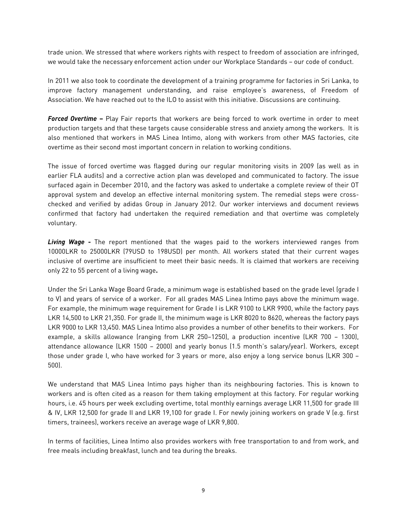trade union. We stressed that where workers rights with respect to freedom of association are infringed, we would take the necessary enforcement action under our Workplace Standards – our code of conduct.

In 2011 we also took to coordinate the development of a training programme for factories in Sri Lanka, to improve factory management understanding, and raise employee's awareness, of Freedom of Association. We have reached out to the ILO to assist with this initiative. Discussions are continuing.

*Forced Overtime* **–** Play Fair reports that workers are being forced to work overtime in order to meet production targets and that these targets cause considerable stress and anxiety among the workers. It is also mentioned that workers in MAS Linea Intimo, along with workers from other MAS factories, cite overtime as their second most important concern in relation to working conditions.

The issue of forced overtime was flagged during our regular monitoring visits in 2009 (as well as in earlier FLA audits) and a corrective action plan was developed and communicated to factory. The issue surfaced again in December 2010, and the factory was asked to undertake a complete review of their OT approval system and develop an effective internal monitoring system. The remedial steps were crosschecked and verified by adidas Group in January 2012. Our worker interviews and document reviews confirmed that factory had undertaken the required remediation and that overtime was completely voluntary.

*Living Wage* **-** The report mentioned that the wages paid to the workers interviewed ranges from 10000LKR to 25000LKR (79USD to 198USD) per month. All workers stated that their current wages inclusive of overtime are insufficient to meet their basic needs. It is claimed that workers are receiving only 22 to 55 percent of a living wage**.** 

Under the Sri Lanka Wage Board Grade, a minimum wage is established based on the grade level (grade I to V) and years of service of a worker. For all grades MAS Linea Intimo pays above the minimum wage. For example, the minimum wage requirement for Grade I is LKR 9100 to LKR 9900, while the factory pays LKR 14,500 to LKR 21,350. For grade II, the minimum wage is LKR 8020 to 8620, whereas the factory pays LKR 9000 to LKR 13,450. MAS Linea Intimo also provides a number of other benefits to their workers. For example, a skills allowance (ranging from LKR 250–1250), a production incentive (LKR 700 – 1300), attendance allowance (LKR 1500 – 2000) and yearly bonus (1.5 month's salary/year). Workers, except those under grade I, who have worked for 3 years or more, also enjoy a long service bonus (LKR 300 – 500).

We understand that MAS Linea Intimo pays higher than its neighbouring factories. This is known to workers and is often cited as a reason for them taking employment at this factory. For regular working hours, i.e. 45 hours per week excluding overtime, total monthly earnings average LKR 11,500 for grade III & IV, LKR 12,500 for grade II and LKR 19,100 for grade I. For newly joining workers on grade V (e.g. first timers, trainees), workers receive an average wage of LKR 9,800.

In terms of facilities, Linea Intimo also provides workers with free transportation to and from work, and free meals including breakfast, lunch and tea during the breaks.